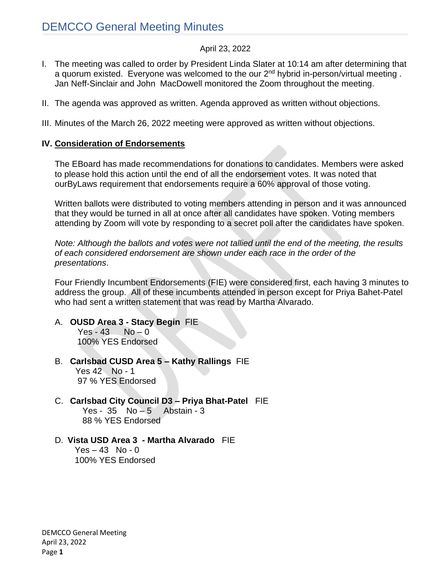#### April 23, 2022

- I. The meeting was called to order by President Linda Slater at 10:14 am after determining that a quorum existed. Everyone was welcomed to the our 2<sup>nd</sup> hybrid in-person/virtual meeting. Jan Neff-Sinclair and John MacDowell monitored the Zoom throughout the meeting.
- II. The agenda was approved as written. Agenda approved as written without objections.
- III. Minutes of the March 26, 2022 meeting were approved as written without objections.

#### **IV. Consideration of Endorsements**

The EBoard has made recommendations for donations to candidates. Members were asked to please hold this action until the end of all the endorsement votes. It was noted that ourByLaws requirement that endorsements require a 60% approval of those voting.

Written ballots were distributed to voting members attending in person and it was announced that they would be turned in all at once after all candidates have spoken. Voting members attending by Zoom will vote by responding to a secret poll after the candidates have spoken.

*Note: Although the ballots and votes were not tallied until the end of the meeting, the results of each considered endorsement are shown under each race in the order of the presentations*.

Four Friendly Incumbent Endorsements (FIE) were considered first, each having 3 minutes to address the group. All of these incumbents attended in person except for Priya Bahet-Patel who had sent a written statement that was read by Martha Alvarado.

#### A. **OUSD Area 3 - Stacy Begin** FIE

 $Yes - 43$   $No - 0$ 100% YES Endorsed

- B. **Carlsbad CUSD Area 5 – Kathy Rallings** FIE Yes 42 No - 1 97 % YES Endorsed
- C. **Carlsbad City Council D3 – Priya Bhat-Patel** FIE Yes -  $35$  No  $-5$  Abstain - 3 88 % YES Endorsed

#### D. **Vista USD Area 3 - Martha Alvarado** FIE

 $Yes - 43 No - 0$ 100% YES Endorsed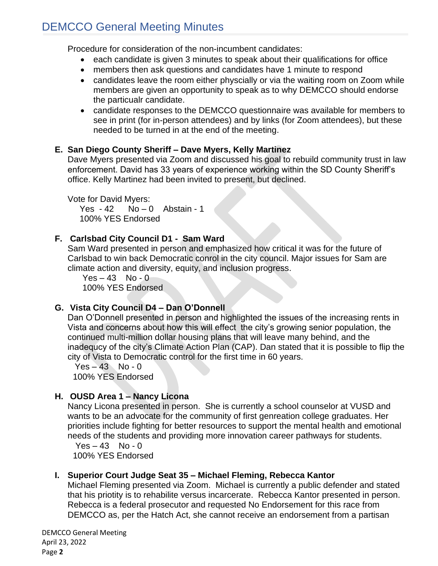# DEMCCO General Meeting Minutes

Procedure for consideration of the non-incumbent candidates:

- each candidate is given 3 minutes to speak about their qualifications for office
- members then ask questions and candidates have 1 minute to respond
- candidates leave the room either physcially or via the waiting room on Zoom while members are given an opportunity to speak as to why DEMCCO should endorse the particualr candidate.
- candidate responses to the DEMCCO questionnaire was available for members to see in print (for in-person attendees) and by links (for Zoom attendees), but these needed to be turned in at the end of the meeting.

## **E. San Diego County Sheriff – Dave Myers, Kelly Martinez**

Dave Myers presented via Zoom and discussed his goal to rebuild community trust in law enforcement. David has 33 years of experience working within the SD County Sheriff's office. Kelly Martinez had been invited to present, but declined.

Vote for David Myers: Yes  $-42$  No  $-0$  Abstain  $-1$ 100% YES Endorsed

## **F. Carlsbad City Council D1 - Sam Ward**

Sam Ward presented in person and emphasized how critical it was for the future of Carlsbad to win back Democratic conrol in the city council. Major issues for Sam are climate action and diversity, equity, and inclusion progress.

 $Yes - 43 No - 0$ 100% YES Endorsed

## **G. Vista City Council D4 – Dan O'Donnell**

Dan O'Donnell presented in person and highlighted the issues of the increasing rents in Vista and concerns about how this will effect the city's growing senior population, the continued multi-million dollar housing plans that will leave many behind, and the inadequcy of the city's Climate Action Plan (CAP). Dan stated that it is possible to flip the city of Vista to Democratic control for the first time in 60 years.

 $Yes - 43 No - 0$ 100% YES Endorsed

# **H. OUSD Area 1 – Nancy Licona**

Nancy Licona presented in person. She is currently a school counselor at VUSD and wants to be an advocate for the community of first genreation college graduates. Her priorities include fighting for better resources to support the mental health and emotional needs of the students and providing more innovation career pathways for students.

 $Yes - 43 No - 0$ 100% YES Endorsed

# **I. Superior Court Judge Seat 35 – Michael Fleming, Rebecca Kantor**

Michael Fleming presented via Zoom. Michael is currently a public defender and stated that his priotity is to rehabilite versus incarcerate. Rebecca Kantor presented in person. Rebecca is a federal prosecutor and requested No Endorsement for this race from DEMCCO as, per the Hatch Act, she cannot receive an endorsement from a partisan